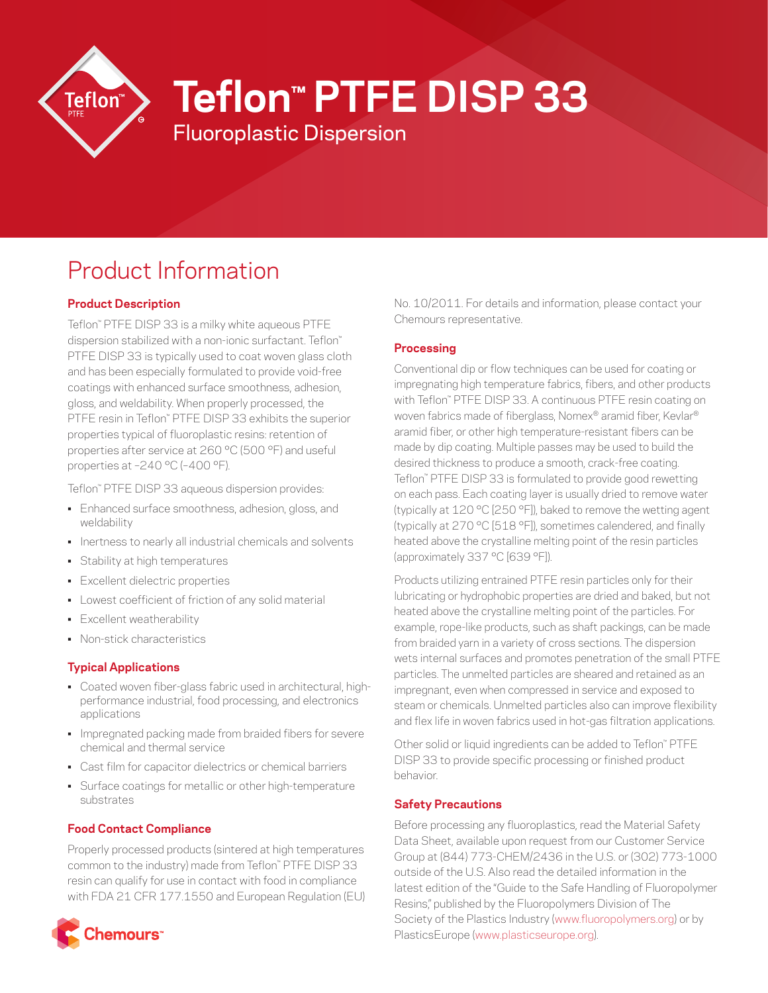

# **Teflon™ PTFE DISP 33**

Fluoroplastic Dispersion

# Product Information

# **Product Description**

Teflon™ PTFE DISP 33 is a milky white aqueous PTFE dispersion stabilized with a non-ionic surfactant. Teflon™ PTFE DISP 33 is typically used to coat woven glass cloth and has been especially formulated to provide void-free coatings with enhanced surface smoothness, adhesion, gloss, and weldability. When properly processed, the PTFE resin in Teflon™ PTFE DISP 33 exhibits the superior properties typical of fluoroplastic resins: retention of properties after service at 260 °C (500 °F) and useful properties at –240 °C (–400 °F).

Teflon™ PTFE DISP 33 aqueous dispersion provides:

- Enhanced surface smoothness, adhesion, gloss, and weldability
- Inertness to nearly all industrial chemicals and solvents
- Stability at high temperatures
- Excellent dielectric properties
- Lowest coefficient of friction of any solid material
- Excellent weatherability
- Non-stick characteristics

### **Typical Applications**

- Coated woven fiber-glass fabric used in architectural, highperformance industrial, food processing, and electronics applications
- Impregnated packing made from braided fibers for severe chemical and thermal service
- Cast film for capacitor dielectrics or chemical barriers
- Surface coatings for metallic or other high-temperature substrates

# **Food Contact Compliance**

Properly processed products (sintered at high temperatures common to the industry) made from Teflon™ PTFE DISP 33 resin can qualify for use in contact with food in compliance with FDA 21 CFR 177.1550 and European Regulation (EU)



No. 10/2011. For details and information, please contact your Chemours representative.

# **Processing**

Conventional dip or flow techniques can be used for coating or impregnating high temperature fabrics, fibers, and other products with Teflon™ PTFE DISP 33. A continuous PTFE resin coating on woven fabrics made of fiberglass, Nomex® aramid fiber, Kevlar® aramid fiber, or other high temperature-resistant fibers can be made by dip coating. Multiple passes may be used to build the desired thickness to produce a smooth, crack-free coating. Teflon™ PTFE DISP 33 is formulated to provide good rewetting on each pass. Each coating layer is usually dried to remove water (typically at 120 °C [250 °F]), baked to remove the wetting agent (typically at 270 °C [518 °F]), sometimes calendered, and finally heated above the crystalline melting point of the resin particles (approximately 337 °C [639 °F]).

Products utilizing entrained PTFE resin particles only for their lubricating or hydrophobic properties are dried and baked, but not heated above the crystalline melting point of the particles. For example, rope-like products, such as shaft packings, can be made from braided yarn in a variety of cross sections. The dispersion wets internal surfaces and promotes penetration of the small PTFE particles. The unmelted particles are sheared and retained as an impregnant, even when compressed in service and exposed to steam or chemicals. Unmelted particles also can improve flexibility and flex life in woven fabrics used in hot-gas filtration applications.

Other solid or liquid ingredients can be added to Teflon™ PTFE DISP 33 to provide specific processing or finished product behavior.

# **Safety Precautions**

Before processing any fluoroplastics, read the Material Safety Data Sheet, available upon request from our Customer Service Group at (844) 773-CHEM/2436 in the U.S. or (302) 773-1000 outside of the U.S. Also read the detailed information in the latest edition of the "Guide to the Safe Handling of Fluoropolymer Resins," published by the Fluoropolymers Division of The Society of the Plastics Industry [\(www.fluoropolymers.org\)](http://www.fluoropolymers.org) or by PlasticsEurope ([www.plasticseurope.org\)](http://www.plasticseurope.org).